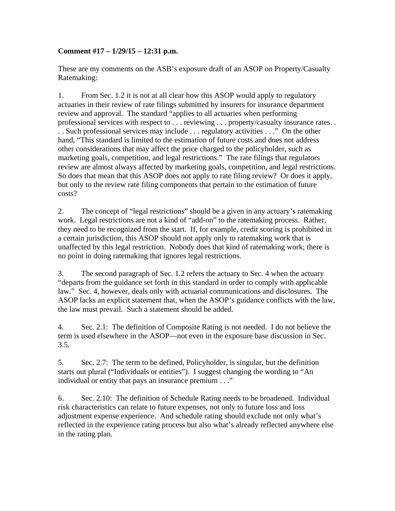## **Comment #17 – 1/29/15 – 12:31 p.m.**

These are my comments on the ASB's exposure draft of an ASOP on Property/Casualty Ratemaking:

1. From Sec. 1.2 it is not at all clear how this ASOP would apply to regulatory actuaries in their review of rate filings submitted by insurers for insurance department review and approval. The standard "applies to all actuaries when performing professional services with respect to . . . reviewing . . . property/casualty insurance rates. . . . Such professional services may include . . . regulatory activities . . ." On the other hand, "This standard is limited to the estimation of future costs and does not address other considerations that may affect the price charged to the policyholder, such as marketing goals, competition, and legal restrictions." The rate filings that regulators review are almost always affected by marketing goals, competition, and legal restrictions. So does that mean that this ASOP does not apply to rate filing review? Or does it apply, but only to the review rate filing components that pertain to the estimation of future costs?

2. The concept of "legal restrictions" should be a given in any actuary's ratemaking work. Legal restrictions are not a kind of "add-on" to the ratemaking process. Rather, they need to be recognized from the start. If, for example, credit scoring is prohibited in a certain jurisdiction, this ASOP should not apply only to ratemaking work that is unaffected by this legal restriction. Nobody does that kind of ratemaking work; there is no point in doing ratemaking that ignores legal restrictions.

3. The second paragraph of Sec. 1.2 refers the actuary to Sec. 4 when the actuary "departs from the guidance set forth in this standard in order to comply with applicable law." Sec. 4, however, deals only with actuarial communications and disclosures. The ASOP lacks an explicit statement that, when the ASOP's guidance conflicts with the law, the law must prevail. Such a statement should be added.

4. Sec. 2.1: The definition of Composite Rating is not needed. I do not believe the term is used elsewhere in the ASOP—not even in the exposure base discussion in Sec. 3.5.

5. Sec. 2.7: The term to be defined, Policyholder, is singular, but the definition starts out plural ("Individuals or entities"). I suggest changing the wording to "An individual or entity that pays an insurance premium . . ."

6. Sec. 2.10: The definition of Schedule Rating needs to be broadened. Individual risk characteristics can relate to future expenses, not only to future loss and loss adjustment expense experience. And schedule rating should exclude not only what's reflected in the experience rating process but also what's already reflected anywhere else in the rating plan.